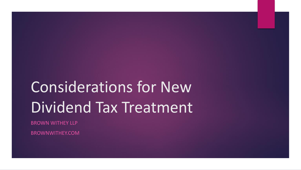# Considerations for New Dividend Tax Treatment

BROWN WITHEY LLP

BROWNWITHEY.COM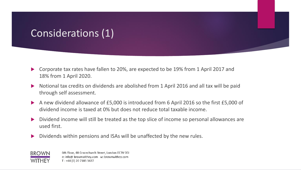### Considerations (1)

- ▶ Corporate tax rates have fallen to 20%, are expected to be 19% from 1 April 2017 and 18% from 1 April 2020.
- Notional tax credits on dividends are abolished from 1 April 2016 and all tax will be paid through self assessment.
- A new dividend allowance of £5,000 is introduced from 6 April 2016 so the first £5,000 of dividend income is taxed at 0% but does not reduce total taxable income.
- Dividend income will still be treated as the top slice of income so personal allowances are used first.
- Dividends within pensions and ISAs will be unaffected by the new rules.

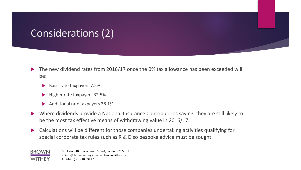### Considerations (2)

- ▶ The new dividend rates from 2016/17 once the 0% tax allowance has been exceeded will be:
	- Basic rate taxpayers 7.5%
	- Higher rate taxpayers 32.5%
	- Additional rate taxpayers 38.1%
- Where dividends provide a National Insurance Contributions saving, they are still likely to be the most tax effective means of withdrawing value in 2016/17.
- Calculations will be different for those companies undertaking activities qualifying for special corporate tax rules such as R & D so bespoke advice must be sought.



6th Floor, 48 Gracechurch Street, London EC3V 0EJ e: info@ brownwithey.com w: brownwithey.com T: +44 (0) 20 7183 3427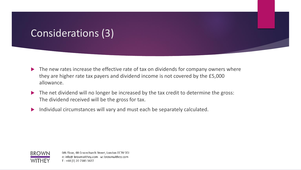## Considerations (3)

- $\blacktriangleright$  The new rates increase the effective rate of tax on dividends for company owners where they are higher rate tax payers and dividend income is not covered by the £5,000 allowance.
- The net dividend will no longer be increased by the tax credit to determine the gross: The dividend received will be the gross for tax.
- Individual circumstances will vary and must each be separately calculated.

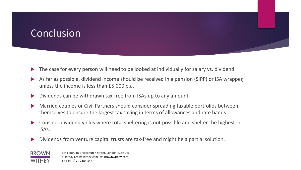#### Conclusion

- The case for every person will need to be looked at individually for salary vs. dividend.
- As far as possible, dividend income should be received in a pension (SIPP) or ISA wrapper, unless the income is less than £5,000 p.a.
- Dividends can be withdrawn tax-free from ISAs up to any amount.
- Married couples or Civil Partners should consider spreading taxable portfolios between themselves to ensure the largest tax saving in terms of allowances and rate bands.
- Consider dividend yields where total sheltering is not possible and shelter the highest in ISAs.
- Dividends from venture capital trusts are tax-free and might be a partial solution.